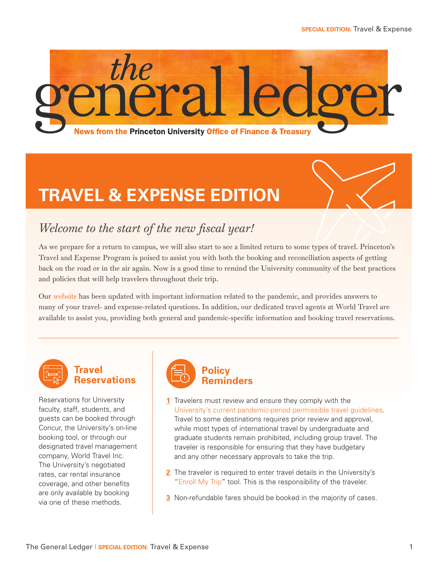

# **TRAVEL & EXPENSE EDITION**



# *Welcome to the start of the new fiscal year!*

As we prepare for a return to campus, we will also start to see a limited return to some types of travel. Princeton's Travel and Expense Program is poised to assist you with both the booking and reconciliation aspects of getting back on the road or in the air again. Now is a good time to remind the University community of the best practices and policies that will help travelers throughout their trip.

Our [website](https://travel.princeton.edu/) has been updated with important information related to the pandemic, and provides answers to many of your travel- and expense-related questions. In addition, our dedicated travel agents at World Travel are available to assist you, providing both general and pandemic-specific information and booking travel reservations.



### **Travel Reservations**

Reservations for University faculty, staff, students, and guests can be booked through Concur, the University's on-line booking tool, or through our designated travel management company, World Travel Inc. The University's negotiated rates, car rental insurance coverage, and other benefits are only available by booking via one of these methods.



- **1** Travelers must review and ensure they comply with the [University's current pandemic-period permissible travel guidelines](https://international.princeton.edu/pandemic-travel-policy). Travel to some destinations requires prior review and approval, while most types of international travel by undergraduate and graduate students remain prohibited, including group travel. The traveler is responsible for ensuring that they have budgetary and any other necessary approvals to take the trip.
- **2** The traveler is required to enter travel details in the University's ["Enroll My Trip"](https://enrollmytrip.princeton.edu/login) tool. This is the responsibility of the traveler.
- **3** Non-refundable fares should be booked in the majority of cases.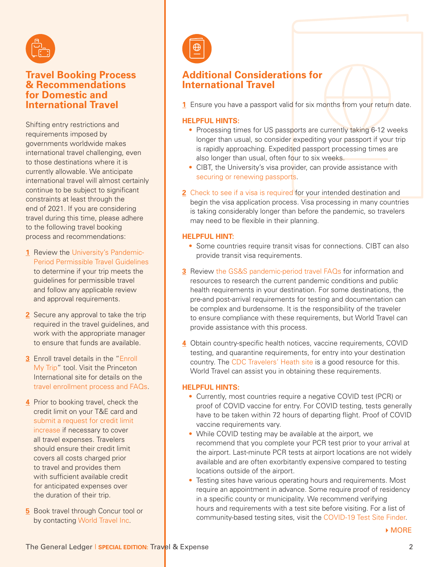

### **Travel Booking Process & Recommendations for Domestic and International Travel**

Shifting entry restrictions and requirements imposed by governments worldwide makes international travel challenging, even to those destinations where it is currently allowable. We anticipate international travel will almost certainly continue to be subject to significant constraints at least through the end of 2021. If you are considering travel during this time, please adhere to the following travel booking process and recommendations:

- **1** Review the [University's Pandemic-](https://international.princeton.edu/pandemic-travel-policy)[Period Permissible Travel Guidelines](https://international.princeton.edu/pandemic-travel-policy) to determine if your trip meets the guidelines for permissible travel and follow any applicable review and approval requirements.
- **2** Secure any approval to take the trip required in the travel guidelines, and work with the appropriate manager to ensure that funds are available.
- **3** Enroll travel details in the ["Enroll](https://enrollmytrip.princeton.edu/login)  [My Trip](https://enrollmytrip.princeton.edu/login)" tool. Visit the Princeton International site for details on the [travel enrollment process and FAQs](https://international.princeton.edu/enrollmytrip).
- **4** Prior to booking travel, check the credit limit on your T&E card and [submit a request for credit limit](https://princeton.service-now.com/service/?id=sc_cat_item&sys_id=20b39caf4fb4778018ddd48e5210c7ab)  [increase](https://princeton.service-now.com/service/?id=sc_cat_item&sys_id=20b39caf4fb4778018ddd48e5210c7ab) if necessary to cover all travel expenses. Travelers should ensure their credit limit covers all costs charged prior to travel and provides them with sufficient available credit for anticipated expenses over the duration of their trip.
- **5** Book travel through Concur tool or by contacting [World Travel Inc.](https://travel.princeton.edu/suppliers/world-travel)

## **Additional Considerations for International Travel**

**1** Ensure you have a passport valid for six months from your return date.

#### **HELPFUL HINTS:**

- Processing times for US passports are currently taking 6-12 weeks longer than usual, so consider expediting your passport if your trip is rapidly approaching. Expedited passport processing times are also longer than usual, often four to six weeks.
- CIBT, the University's visa provider, can provide assistance with [securing or renewing passports](https://cibtvisas.com/passport-information).
- **2** [Check to see if a visa is required](https://cibtvisas.com/?login=princetonuniversity) for your intended destination and begin the visa application process. Visa processing in many countries is taking considerably longer than before the pandemic, so travelers may need to be flexible in their planning.

#### **HELPFUL HINT:**

- Some countries require transit visas for connections. CIBT can also provide transit visa requirements.
- **3** Review [the GS&S pandemic-period travel FAQs](https://international.princeton.edu/pandemic-travel-policy) for information and resources to research the current pandemic conditions and public health requirements in your destination. For some destinations, the pre-and post-arrival requirements for testing and documentation can be complex and burdensome. It is the responsibility of the traveler to ensure compliance with these requirements, but World Travel can provide assistance with this process.
- **4** Obtain country-specific health notices, vaccine requirements, COVID testing, and quarantine requirements, for entry into your destination country. The [CDC Travelers' Heath site](https://wwwnc.cdc.gov/travel) is a good resource for this. World Travel can assist you in obtaining these requirements.

#### **HELPFUL HINTS:**

- Currently, most countries require a negative COVID test (PCR) or proof of COVID vaccine for entry. For COVID testing, tests generally have to be taken within 72 hours of departing flight. Proof of COVID vaccine requirements vary.
- While COVID testing may be available at the airport, we recommend that you complete your PCR test prior to your arrival at the airport. Last-minute PCR tests at airport locations are not widely available and are often exorbitantly expensive compared to testing locations outside of the airport.
- Testing sites have various operating hours and requirements. Most require an appointment in advance. Some require proof of residency in a specific county or municipality. We recommend verifying hours and requirements with a test site before visiting. For a list of community-based testing sites, visit the [COVID-19 Test Site Finder.](https://covid19.nj.gov/pages/testing#test-sites)

MORE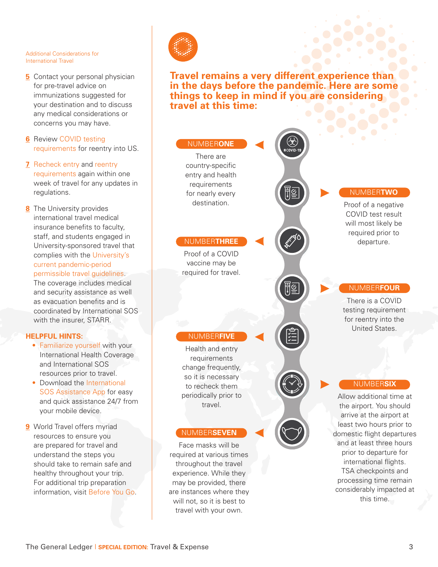#### Additional Considerations for International Travel

- **5** Contact your personal physician for pre-travel advice on immunizations suggested for your destination and to discuss any medical considerations or concerns you may have.
- **6** Review COVID testing [requirements](https://www.cdc.gov/coronavirus/2019-ncov/travelers/testing-international-air-travelers.html) for reentry into US.
- **7** [Recheck entry](https://wwwnc.cdc.gov/travel/destinations/list) and reentry [requirements](https://www.cdc.gov/coronavirus/2019-ncov/travelers/testing-international-air-travelers.html) again within one week of travel for any updates in regulations.
- **8** The University provides international travel medical insurance benefits to faculty, staff, and students engaged in University-sponsored travel that complies with the [University's](https://international.princeton.edu/pandemic-travel-policy)  [current pandemic-period](https://international.princeton.edu/pandemic-travel-policy)  [permissible travel guidelines](https://international.princeton.edu/pandemic-travel-policy).

The coverage includes medical and security assistance as well as evacuation benefits and is coordinated by International SOS with the insurer, STARR.

#### **HELPFUL HINTS:**

- [Familiarize yourself](https://travel.princeton.edu/faculty-staff/international-travel/international-sos-and-health-insurance) with your International Health Coverage and International SOS resources prior to travel.
- Download the International [SOS Assistance App](https://www.internationalsos.com/assistance-app) for easy and quick assistance 24/7 from your mobile device.
- **9** World Travel offers myriad resources to ensure you are prepared for travel and understand the steps you should take to remain safe and healthy throughout your trip. For additional trip preparation information, visit [Before You Go](https://www.worldtravelinc.com/worldalert360).



**Travel remains a very different experience than in the days before the pandemic. Here are some things to keep in mind if you are considering travel at this time:**